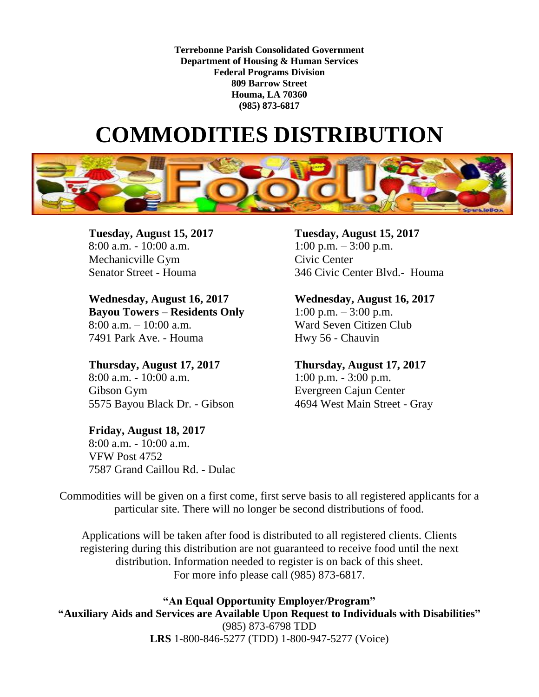**Terrebonne Parish Consolidated Government Department of Housing & Human Services Federal Programs Division 809 Barrow Street Houma, LA 70360 (985) 873-6817**

## **COMMODITIES DISTRIBUTION**



**Tuesday, August 15, 2017 Tuesday, August 15, 2017** 8:00 a.m. - 10:00 a.m.  $1:00 \text{ p.m.} - 3:00 \text{ p.m.}$ Mechanicville Gym Civic Center

**Wednesday, August 16, 2017 Wednesday, August 16, 2017 Bayou Towers – Residents Only** 1:00 p.m. – 3:00 p.m. 8:00 a.m. – 10:00 a.m. Ward Seven Citizen Club 7491 Park Ave. - Houma Hwy 56 - Chauvin

**Thursday, August 17, 2017 Thursday, August 17, 2017**  8:00 a.m. - 10:00 a.m. 1:00 p.m. - 3:00 p.m. Gibson Gym Evergreen Cajun Center 5575 Bayou Black Dr. - Gibson 4694 West Main Street - Gray

**Friday, August 18, 2017** 8:00 a.m. - 10:00 a.m. VFW Post 4752 7587 Grand Caillou Rd. - Dulac

Senator Street - Houma 346 Civic Center Blvd.- Houma

Commodities will be given on a first come, first serve basis to all registered applicants for a particular site. There will no longer be second distributions of food.

Applications will be taken after food is distributed to all registered clients. Clients registering during this distribution are not guaranteed to receive food until the next distribution. Information needed to register is on back of this sheet. For more info please call (985) 873-6817.

**"An Equal Opportunity Employer/Program" "Auxiliary Aids and Services are Available Upon Request to Individuals with Disabilities"** (985) 873-6798 TDD **LRS** 1-800-846-5277 (TDD) 1-800-947-5277 (Voice)